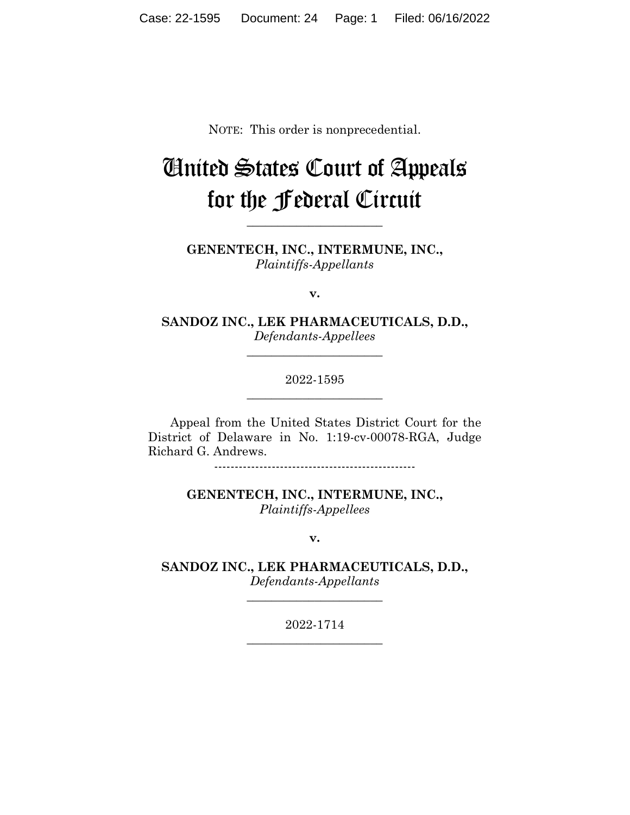NOTE: This order is nonprecedential.

## United States Court of Appeals for the Federal Circuit

**\_\_\_\_\_\_\_\_\_\_\_\_\_\_\_\_\_\_\_\_\_\_**

**GENENTECH, INC., INTERMUNE, INC.,** *Plaintiffs-Appellants*

**v.**

**SANDOZ INC., LEK PHARMACEUTICALS, D.D.,** *Defendants-Appellees*

**\_\_\_\_\_\_\_\_\_\_\_\_\_\_\_\_\_\_\_\_\_\_**

2022-1595 **\_\_\_\_\_\_\_\_\_\_\_\_\_\_\_\_\_\_\_\_\_\_**

Appeal from the United States District Court for the District of Delaware in No. 1:19-cv-00078-RGA, Judge Richard G. Andrews.

-------------------------------------------------

**GENENTECH, INC., INTERMUNE, INC.,** *Plaintiffs-Appellees*

**v.**

**SANDOZ INC., LEK PHARMACEUTICALS, D.D.,** *Defendants-Appellants*

**\_\_\_\_\_\_\_\_\_\_\_\_\_\_\_\_\_\_\_\_\_\_**

2022-1714 **\_\_\_\_\_\_\_\_\_\_\_\_\_\_\_\_\_\_\_\_\_\_**